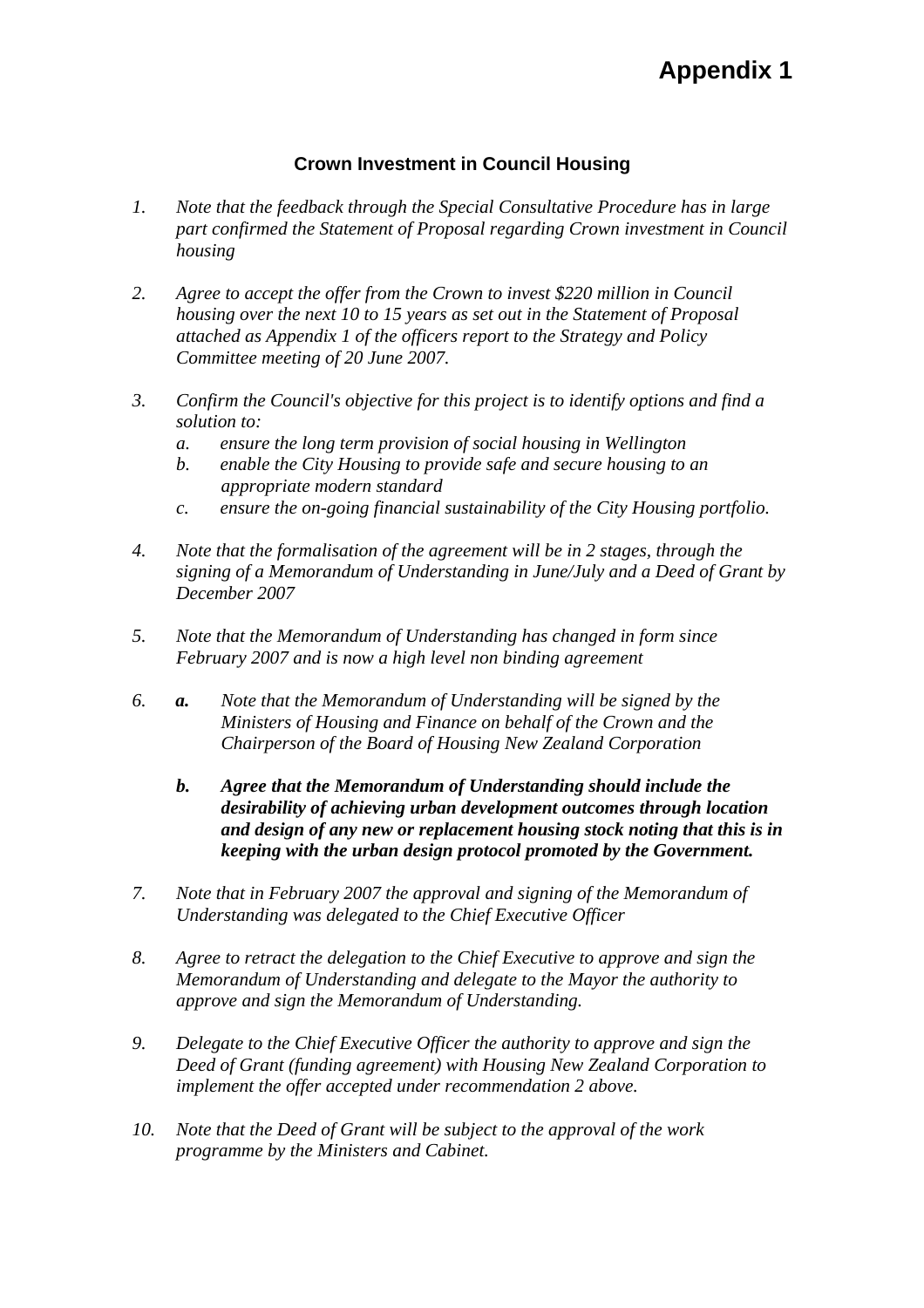## **Crown Investment in Council Housing**

- *1. Note that the feedback through the Special Consultative Procedure has in large part confirmed the Statement of Proposal regarding Crown investment in Council housing*
- *2. Agree to accept the offer from the Crown to invest \$220 million in Council housing over the next 10 to 15 years as set out in the Statement of Proposal attached as Appendix 1 of the officers report to the Strategy and Policy Committee meeting of 20 June 2007.*
- *3. Confirm the Council's objective for this project is to identify options and find a solution to:* 
	- *a. ensure the long term provision of social housing in Wellington*
	- *b. enable the City Housing to provide safe and secure housing to an appropriate modern standard*
	- *c. ensure the on-going financial sustainability of the City Housing portfolio.*
- *4. Note that the formalisation of the agreement will be in 2 stages, through the signing of a Memorandum of Understanding in June/July and a Deed of Grant by December 2007*
- *5. Note that the Memorandum of Understanding has changed in form since February 2007 and is now a high level non binding agreement*
- *6. a. Note that the Memorandum of Understanding will be signed by the Ministers of Housing and Finance on behalf of the Crown and the Chairperson of the Board of Housing New Zealand Corporation* 
	- *b. Agree that the Memorandum of Understanding should include the desirability of achieving urban development outcomes through location and design of any new or replacement housing stock noting that this is in keeping with the urban design protocol promoted by the Government.*
- *7. Note that in February 2007 the approval and signing of the Memorandum of Understanding was delegated to the Chief Executive Officer*
- *8. Agree to retract the delegation to the Chief Executive to approve and sign the Memorandum of Understanding and delegate to the Mayor the authority to approve and sign the Memorandum of Understanding.*
- *9. Delegate to the Chief Executive Officer the authority to approve and sign the Deed of Grant (funding agreement) with Housing New Zealand Corporation to implement the offer accepted under recommendation 2 above.*
- *10. Note that the Deed of Grant will be subject to the approval of the work programme by the Ministers and Cabinet.*